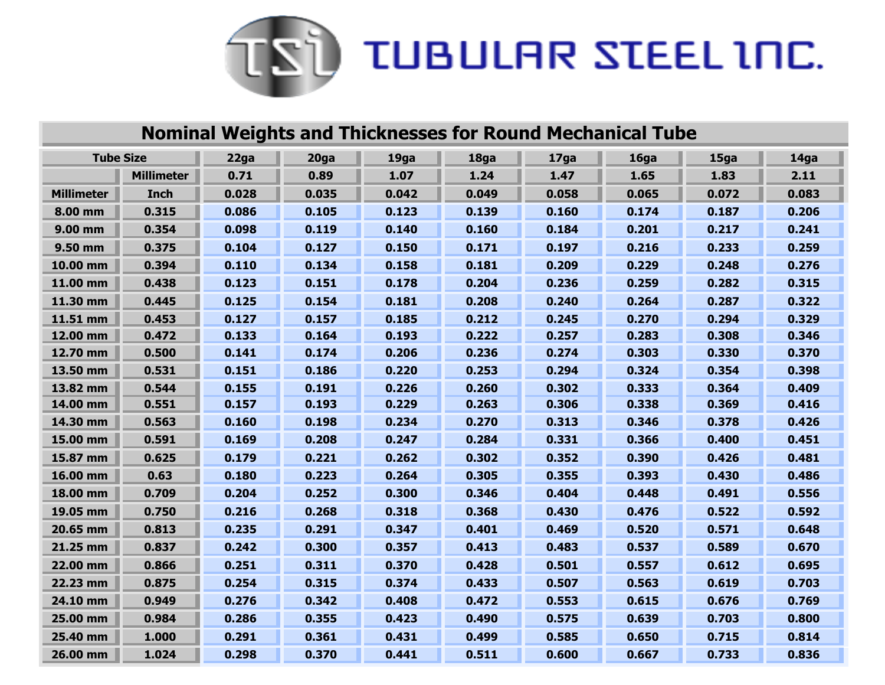

| <b>Nominal Weights and Thicknesses for Round Mechanical Tube</b> |                   |       |       |       |       |       |       |       |       |
|------------------------------------------------------------------|-------------------|-------|-------|-------|-------|-------|-------|-------|-------|
| <b>Tube Size</b>                                                 |                   | 22ga  | 20ga  | 19ga  | 18ga  | 17ga  | 16ga  | 15ga  | 14ga  |
|                                                                  | <b>Millimeter</b> | 0.71  | 0.89  | 1.07  | 1.24  | 1.47  | 1.65  | 1.83  | 2.11  |
| <b>Millimeter</b>                                                | Inch              | 0.028 | 0.035 | 0.042 | 0.049 | 0.058 | 0.065 | 0.072 | 0.083 |
| 8.00 mm                                                          | 0.315             | 0.086 | 0.105 | 0.123 | 0.139 | 0.160 | 0.174 | 0.187 | 0.206 |
| 9.00 mm                                                          | 0.354             | 0.098 | 0.119 | 0.140 | 0.160 | 0.184 | 0.201 | 0.217 | 0.241 |
| 9.50 mm                                                          | 0.375             | 0.104 | 0.127 | 0.150 | 0.171 | 0.197 | 0.216 | 0.233 | 0.259 |
| 10.00 mm                                                         | 0.394             | 0.110 | 0.134 | 0.158 | 0.181 | 0.209 | 0.229 | 0.248 | 0.276 |
| 11.00 mm                                                         | 0.438             | 0.123 | 0.151 | 0.178 | 0.204 | 0.236 | 0.259 | 0.282 | 0.315 |
| 11.30 mm                                                         | 0.445             | 0.125 | 0.154 | 0.181 | 0.208 | 0.240 | 0.264 | 0.287 | 0.322 |
| 11.51 mm                                                         | 0.453             | 0.127 | 0.157 | 0.185 | 0.212 | 0.245 | 0.270 | 0.294 | 0.329 |
| 12.00 mm                                                         | 0.472             | 0.133 | 0.164 | 0.193 | 0.222 | 0.257 | 0.283 | 0.308 | 0.346 |
| 12.70 mm                                                         | 0.500             | 0.141 | 0.174 | 0.206 | 0.236 | 0.274 | 0.303 | 0.330 | 0.370 |
| 13.50 mm                                                         | 0.531             | 0.151 | 0.186 | 0.220 | 0.253 | 0.294 | 0.324 | 0.354 | 0.398 |
| 13.82 mm                                                         | 0.544             | 0.155 | 0.191 | 0.226 | 0.260 | 0.302 | 0.333 | 0.364 | 0.409 |
| 14.00 mm                                                         | 0.551             | 0.157 | 0.193 | 0.229 | 0.263 | 0.306 | 0.338 | 0.369 | 0.416 |
| 14.30 mm                                                         | 0.563             | 0.160 | 0.198 | 0.234 | 0.270 | 0.313 | 0.346 | 0.378 | 0.426 |
| 15.00 mm                                                         | 0.591             | 0.169 | 0.208 | 0.247 | 0.284 | 0.331 | 0.366 | 0.400 | 0.451 |
| 15.87 mm                                                         | 0.625             | 0.179 | 0.221 | 0.262 | 0.302 | 0.352 | 0.390 | 0.426 | 0.481 |
| 16.00 mm                                                         | 0.63              | 0.180 | 0.223 | 0.264 | 0.305 | 0.355 | 0.393 | 0.430 | 0.486 |
| 18.00 mm                                                         | 0.709             | 0.204 | 0.252 | 0.300 | 0.346 | 0.404 | 0.448 | 0.491 | 0.556 |
| 19.05 mm                                                         | 0.750             | 0.216 | 0.268 | 0.318 | 0.368 | 0.430 | 0.476 | 0.522 | 0.592 |
| 20.65 mm                                                         | 0.813             | 0.235 | 0.291 | 0.347 | 0.401 | 0.469 | 0.520 | 0.571 | 0.648 |
| 21.25 mm                                                         | 0.837             | 0.242 | 0.300 | 0.357 | 0.413 | 0.483 | 0.537 | 0.589 | 0.670 |
| 22.00 mm                                                         | 0.866             | 0.251 | 0.311 | 0.370 | 0.428 | 0.501 | 0.557 | 0.612 | 0.695 |
| 22.23 mm                                                         | 0.875             | 0.254 | 0.315 | 0.374 | 0.433 | 0.507 | 0.563 | 0.619 | 0.703 |
| 24.10 mm                                                         | 0.949             | 0.276 | 0.342 | 0.408 | 0.472 | 0.553 | 0.615 | 0.676 | 0.769 |
| 25.00 mm                                                         | 0.984             | 0.286 | 0.355 | 0.423 | 0.490 | 0.575 | 0.639 | 0.703 | 0.800 |
| 25.40 mm                                                         | 1.000             | 0.291 | 0.361 | 0.431 | 0.499 | 0.585 | 0.650 | 0.715 | 0.814 |
| 26.00 mm                                                         | 1.024             | 0.298 | 0.370 | 0.441 | 0.511 | 0.600 | 0.667 | 0.733 | 0.836 |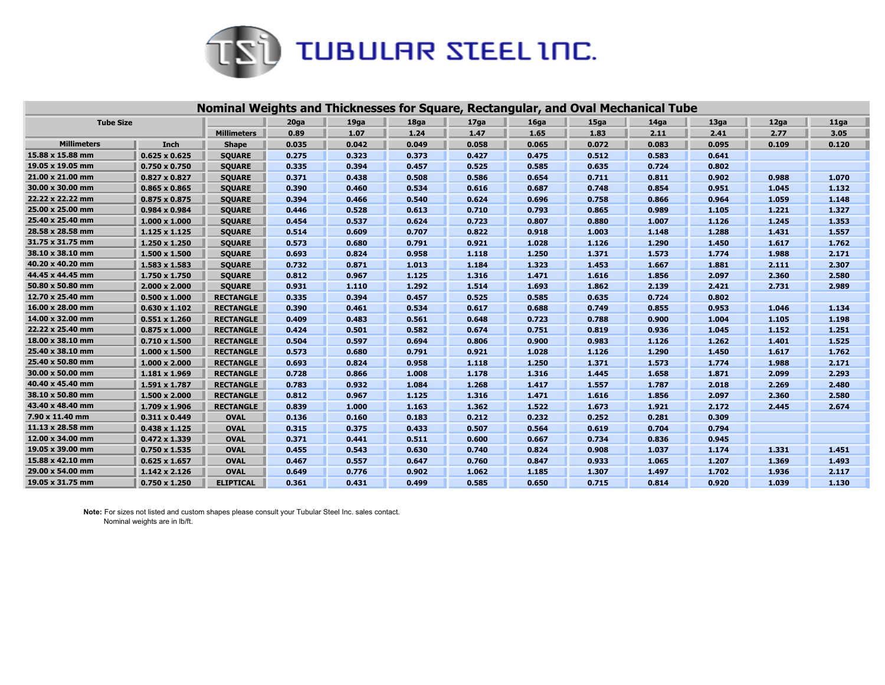

|                    |                      | Nominal Weights and Thicknesses for Square, Rectangular, and Oval Mechanical Tube |       |                  |       |                  |       |                   |                  |       |       |       |
|--------------------|----------------------|-----------------------------------------------------------------------------------|-------|------------------|-------|------------------|-------|-------------------|------------------|-------|-------|-------|
| <b>Tube Size</b>   |                      |                                                                                   | 20ga  | 19 <sub>ga</sub> | 18ga  | 17 <sub>ga</sub> | 16ga  | 15 <sub>g</sub> a | 14 <sub>ga</sub> | 13ga  | 12ga  | 11ga  |
|                    |                      | <b>Millimeters</b>                                                                | 0.89  | 1.07             | 1.24  | 1.47             | 1.65  | 1.83              | 2.11             | 2.41  | 2.77  | 3.05  |
| <b>Millimeters</b> | Inch                 | <b>Shape</b>                                                                      | 0.035 | 0.042            | 0.049 | 0.058            | 0.065 | 0.072             | 0.083            | 0.095 | 0.109 | 0.120 |
| 15.88 x 15.88 mm   | $0.625 \times 0.625$ | <b>SQUARE</b>                                                                     | 0.275 | 0.323            | 0.373 | 0.427            | 0.475 | 0.512             | 0.583            | 0.641 |       |       |
| 19.05 x 19.05 mm   | $0.750 \times 0.750$ | <b>SQUARE</b>                                                                     | 0.335 | 0.394            | 0.457 | 0.525            | 0.585 | 0.635             | 0.724            | 0.802 |       |       |
| 21.00 x 21.00 mm   | $0.827 \times 0.827$ | <b>SQUARE</b>                                                                     | 0.371 | 0.438            | 0.508 | 0.586            | 0.654 | 0.711             | 0.811            | 0.902 | 0.988 | 1.070 |
| 30.00 x 30.00 mm   | $0.865 \times 0.865$ | <b>SQUARE</b>                                                                     | 0.390 | 0.460            | 0.534 | 0.616            | 0.687 | 0.748             | 0.854            | 0.951 | 1.045 | 1.132 |
| 22.22 x 22.22 mm   | $0.875 \times 0.875$ | <b>SQUARE</b>                                                                     | 0.394 | 0.466            | 0.540 | 0.624            | 0.696 | 0.758             | 0.866            | 0.964 | 1.059 | 1.148 |
| 25.00 x 25.00 mm   | $0.984 \times 0.984$ | <b>SQUARE</b>                                                                     | 0.446 | 0.528            | 0.613 | 0.710            | 0.793 | 0.865             | 0.989            | 1.105 | 1.221 | 1.327 |
| 25.40 x 25.40 mm   | $1.000 \times 1.000$ | <b>SQUARE</b>                                                                     | 0.454 | 0.537            | 0.624 | 0.723            | 0.807 | 0.880             | 1.007            | 1.126 | 1.245 | 1.353 |
| 28.58 x 28.58 mm   | $1.125 \times 1.125$ | <b>SQUARE</b>                                                                     | 0.514 | 0.609            | 0.707 | 0.822            | 0.918 | 1.003             | 1.148            | 1.288 | 1.431 | 1.557 |
| 31.75 x 31.75 mm   | 1.250 x 1.250        | <b>SQUARE</b>                                                                     | 0.573 | 0.680            | 0.791 | 0.921            | 1.028 | 1.126             | 1.290            | 1.450 | 1.617 | 1.762 |
| 38.10 x 38.10 mm   | 1.500 x 1.500        | <b>SQUARE</b>                                                                     | 0.693 | 0.824            | 0.958 | 1.118            | 1.250 | 1.371             | 1.573            | 1.774 | 1.988 | 2.171 |
| 40.20 x 40.20 mm   | $1.583 \times 1.583$ | <b>SQUARE</b>                                                                     | 0.732 | 0.871            | 1.013 | 1.184            | 1.323 | 1.453             | 1.667            | 1.881 | 2.111 | 2.307 |
| 44.45 x 44.45 mm   | 1.750 x 1.750        | <b>SQUARE</b>                                                                     | 0.812 | 0.967            | 1.125 | 1.316            | 1.471 | 1.616             | 1.856            | 2.097 | 2.360 | 2.580 |
| 50.80 x 50.80 mm   | $2.000 \times 2.000$ | <b>SQUARE</b>                                                                     | 0.931 | 1.110            | 1.292 | 1.514            | 1.693 | 1.862             | 2.139            | 2.421 | 2.731 | 2.989 |
| 12.70 x 25.40 mm   | $0.500 \times 1.000$ | <b>RECTANGLE</b>                                                                  | 0.335 | 0.394            | 0.457 | 0.525            | 0.585 | 0.635             | 0.724            | 0.802 |       |       |
| 16.00 x 28.00 mm   | $0.630 \times 1.102$ | <b>RECTANGLE</b>                                                                  | 0.390 | 0.461            | 0.534 | 0.617            | 0.688 | 0.749             | 0.855            | 0.953 | 1.046 | 1.134 |
| 14.00 x 32.00 mm   | $0.551 \times 1.260$ | <b>RECTANGLE</b>                                                                  | 0.409 | 0.483            | 0.561 | 0.648            | 0.723 | 0.788             | 0.900            | 1.004 | 1.105 | 1.198 |
| 22.22 x 25.40 mm   | $0.875 \times 1.000$ | <b>RECTANGLE</b>                                                                  | 0.424 | 0.501            | 0.582 | 0.674            | 0.751 | 0.819             | 0.936            | 1.045 | 1.152 | 1.251 |
| 18.00 x 38.10 mm   | $0.710 \times 1.500$ | <b>RECTANGLE</b>                                                                  | 0.504 | 0.597            | 0.694 | 0.806            | 0.900 | 0.983             | 1.126            | 1.262 | 1.401 | 1.525 |
| 25.40 x 38.10 mm   | $1.000 \times 1.500$ | <b>RECTANGLE</b>                                                                  | 0.573 | 0.680            | 0.791 | 0.921            | 1.028 | 1.126             | 1.290            | 1.450 | 1.617 | 1.762 |
| 25.40 x 50.80 mm   | $1.000 \times 2.000$ | <b>RECTANGLE</b>                                                                  | 0.693 | 0.824            | 0.958 | 1.118            | 1.250 | 1.371             | 1.573            | 1.774 | 1.988 | 2.171 |
| 30.00 x 50.00 mm   | $1.181 \times 1.969$ | <b>RECTANGLE</b>                                                                  | 0.728 | 0.866            | 1.008 | 1.178            | 1.316 | 1.445             | 1.658            | 1.871 | 2.099 | 2.293 |
| 40.40 x 45.40 mm   | 1.591 x 1.787        | <b>RECTANGLE</b>                                                                  | 0.783 | 0.932            | 1.084 | 1.268            | 1.417 | 1.557             | 1.787            | 2.018 | 2.269 | 2.480 |
| 38.10 x 50.80 mm   | 1.500 x 2.000        | <b>RECTANGLE</b>                                                                  | 0.812 | 0.967            | 1.125 | 1.316            | 1.471 | 1.616             | 1.856            | 2.097 | 2.360 | 2.580 |
| 43.40 x 48.40 mm   | 1.709 x 1.906        | <b>RECTANGLE</b>                                                                  | 0.839 | 1.000            | 1.163 | 1.362            | 1.522 | 1.673             | 1.921            | 2.172 | 2.445 | 2.674 |
| 7.90 x 11.40 mm    | $0.311 \times 0.449$ | <b>OVAL</b>                                                                       | 0.136 | 0.160            | 0.183 | 0.212            | 0.232 | 0.252             | 0.281            | 0.309 |       |       |
| 11.13 x 28.58 mm   | $0.438 \times 1.125$ | <b>OVAL</b>                                                                       | 0.315 | 0.375            | 0.433 | 0.507            | 0.564 | 0.619             | 0.704            | 0.794 |       |       |
| 12.00 x 34.00 mm   | $0.472 \times 1.339$ | <b>OVAL</b>                                                                       | 0.371 | 0.441            | 0.511 | 0.600            | 0.667 | 0.734             | 0.836            | 0.945 |       |       |
| 19.05 x 39.00 mm   | $0.750 \times 1.535$ | <b>OVAL</b>                                                                       | 0.455 | 0.543            | 0.630 | 0.740            | 0.824 | 0.908             | 1.037            | 1.174 | 1.331 | 1.451 |
| 15.88 x 42.10 mm   | $0.625 \times 1.657$ | <b>OVAL</b>                                                                       | 0.467 | 0.557            | 0.647 | 0.760            | 0.847 | 0.933             | 1.065            | 1.207 | 1.369 | 1.493 |
| 29.00 x 54.00 mm   | $1.142 \times 2.126$ | <b>OVAL</b>                                                                       | 0.649 | 0.776            | 0.902 | 1.062            | 1.185 | 1.307             | 1.497            | 1.702 | 1.936 | 2.117 |
| 19.05 x 31.75 mm   | $0.750 \times 1.250$ | <b>ELIPTICAL</b>                                                                  | 0.361 | 0.431            | 0.499 | 0.585            | 0.650 | 0.715             | 0.814            | 0.920 | 1.039 | 1.130 |

**Note:** For sizes not listed and custom shapes please consult your Tubular Steel Inc. sales contact. Nominal weights are in lb/ft.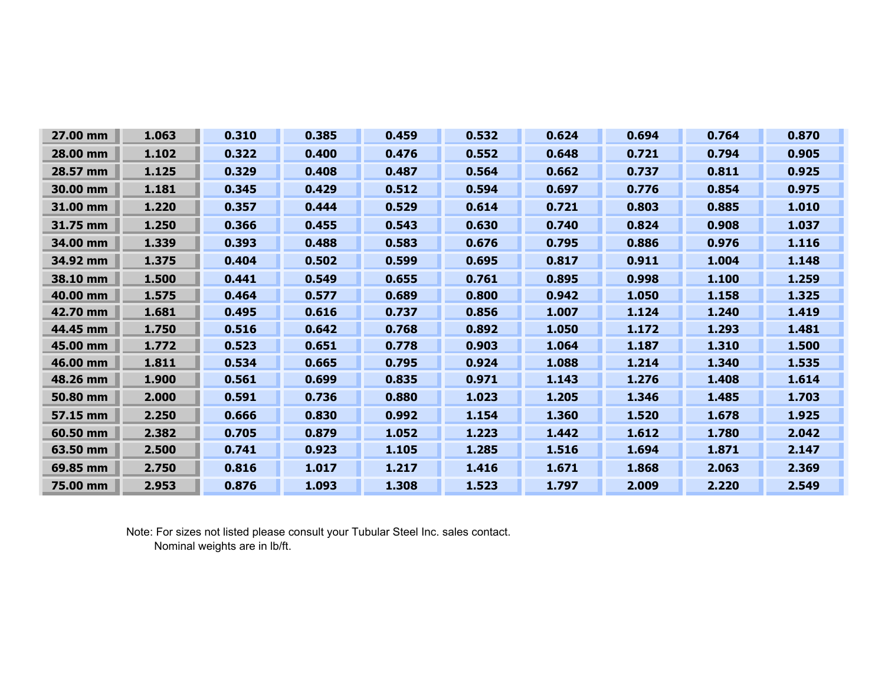| 27.00 mm | 1.063 | 0.310 | 0.385 | 0.459 | 0.532 | 0.624 | 0.694 | 0.764 | 0.870 |
|----------|-------|-------|-------|-------|-------|-------|-------|-------|-------|
| 28.00 mm | 1.102 | 0.322 | 0.400 | 0.476 | 0.552 | 0.648 | 0.721 | 0.794 | 0.905 |
| 28.57 mm | 1.125 | 0.329 | 0.408 | 0.487 | 0.564 | 0.662 | 0.737 | 0.811 | 0.925 |
| 30.00 mm | 1.181 | 0.345 | 0.429 | 0.512 | 0.594 | 0.697 | 0.776 | 0.854 | 0.975 |
| 31.00 mm | 1.220 | 0.357 | 0.444 | 0.529 | 0.614 | 0.721 | 0.803 | 0.885 | 1.010 |
| 31.75 mm | 1.250 | 0.366 | 0.455 | 0.543 | 0.630 | 0.740 | 0.824 | 0.908 | 1.037 |
| 34.00 mm | 1.339 | 0.393 | 0.488 | 0.583 | 0.676 | 0.795 | 0.886 | 0.976 | 1.116 |
| 34.92 mm | 1.375 | 0.404 | 0.502 | 0.599 | 0.695 | 0.817 | 0.911 | 1.004 | 1.148 |
| 38.10 mm | 1.500 | 0.441 | 0.549 | 0.655 | 0.761 | 0.895 | 0.998 | 1.100 | 1.259 |
| 40.00 mm | 1.575 | 0.464 | 0.577 | 0.689 | 0.800 | 0.942 | 1.050 | 1.158 | 1.325 |
| 42.70 mm | 1.681 | 0.495 | 0.616 | 0.737 | 0.856 | 1.007 | 1.124 | 1.240 | 1.419 |
| 44.45 mm | 1.750 | 0.516 | 0.642 | 0.768 | 0.892 | 1.050 | 1.172 | 1.293 | 1.481 |
| 45.00 mm | 1.772 | 0.523 | 0.651 | 0.778 | 0.903 | 1.064 | 1.187 | 1.310 | 1.500 |
| 46.00 mm | 1.811 | 0.534 | 0.665 | 0.795 | 0.924 | 1.088 | 1.214 | 1.340 | 1.535 |
| 48.26 mm | 1.900 | 0.561 | 0.699 | 0.835 | 0.971 | 1.143 | 1.276 | 1.408 | 1.614 |
| 50.80 mm | 2.000 | 0.591 | 0.736 | 0.880 | 1.023 | 1.205 | 1.346 | 1.485 | 1.703 |
| 57.15 mm | 2.250 | 0.666 | 0.830 | 0.992 | 1.154 | 1.360 | 1.520 | 1.678 | 1.925 |
| 60.50 mm | 2.382 | 0.705 | 0.879 | 1.052 | 1.223 | 1.442 | 1.612 | 1.780 | 2.042 |
| 63.50 mm | 2.500 | 0.741 | 0.923 | 1.105 | 1.285 | 1.516 | 1.694 | 1.871 | 2.147 |
| 69.85 mm | 2.750 | 0.816 | 1.017 | 1.217 | 1.416 | 1.671 | 1.868 | 2.063 | 2.369 |
| 75.00 mm | 2.953 | 0.876 | 1.093 | 1.308 | 1.523 | 1.797 | 2.009 | 2.220 | 2.549 |

Note: For sizes not listed please consult your Tubular Steel Inc. sales contact. Nominal weights are in lb/ft.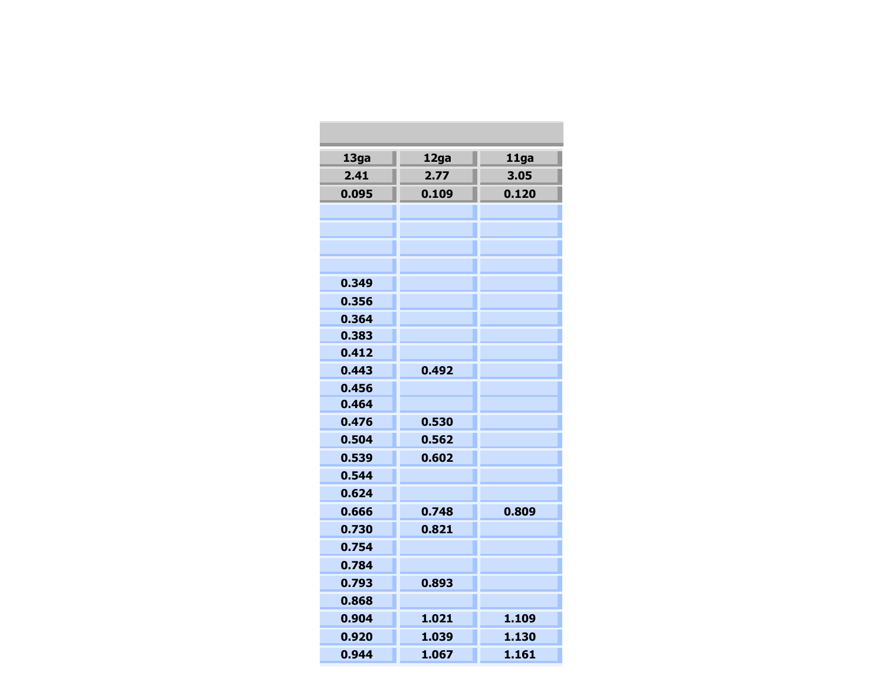| 13ga  | 12ga  | 11ga  |
|-------|-------|-------|
| 2.41  | 2.77  | 3.05  |
| 0.095 | 0.109 | 0.120 |
|       |       |       |
|       |       |       |
|       |       |       |
|       |       |       |
| 0.349 |       |       |
| 0.356 |       |       |
| 0.364 |       |       |
| 0.383 |       |       |
| 0.412 |       |       |
| 0.443 | 0.492 |       |
| 0.456 |       |       |
| 0.464 |       |       |
| 0.476 | 0.530 |       |
| 0.504 | 0.562 |       |
| 0.539 | 0.602 |       |
| 0.544 |       |       |
| 0.624 |       |       |
| 0.666 | 0.748 | 0.809 |
| 0.730 | 0.821 |       |
| 0.754 |       |       |
| 0.784 |       |       |
| 0.793 | 0.893 |       |
| 0.868 |       |       |
| 0.904 | 1.021 | 1.109 |
| 0.920 | 1.039 | 1.130 |
| 0.944 | 1.067 | 1.161 |